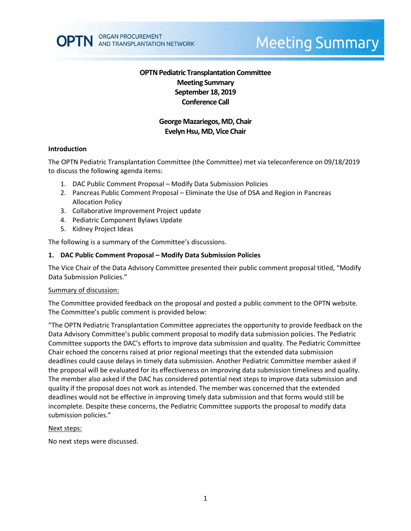

# **Meeting Summary**

# **OPTN Pediatric Transplantation Committee Meeting Summary September 18, 2019 Conference Call**

# **George Mazariegos,MD, Chair Evelyn Hsu, MD, Vice Chair**

#### **Introduction**

The OPTN Pediatric Transplantation Committee (the Committee) met via teleconference on 09/18/2019 to discuss the following agenda items:

- 1. DAC Public Comment Proposal Modify Data Submission Policies
- 2. Pancreas Public Comment Proposal Eliminate the Use of DSA and Region in Pancreas Allocation Policy
- 3. Collaborative Improvement Project update
- 4. Pediatric Component Bylaws Update
- 5. Kidney Project Ideas

The following is a summary of the Committee's discussions.

#### **1. DAC Public Comment Proposal – Modify Data Submission Policies**

The Vice Chair of the Data Advisory Committee presented their public comment proposal titled, "Modify Data Submission Policies."

#### Summary of discussion:

The Committee provided feedback on the proposal and posted a public comment to the OPTN website. The Committee's public comment is provided below:

"The OPTN Pediatric Transplantation Committee appreciates the opportunity to provide feedback on the Data Advisory Committee's public comment proposal to modify data submission policies. The Pediatric Committee supports the DAC's efforts to improve data submission and quality. The Pediatric Committee Chair echoed the concerns raised at prior regional meetings that the extended data submission deadlines could cause delays in timely data submission. Another Pediatric Committee member asked if the proposal will be evaluated for its effectiveness on improving data submission timeliness and quality. The member also asked if the DAC has considered potential next steps to improve data submission and quality if the proposal does not work as intended. The member was concerned that the extended deadlines would not be effective in improving timely data submission and that forms would still be incomplete. Despite these concerns, the Pediatric Committee supports the proposal to modify data submission policies."

#### Next steps:

No next steps were discussed.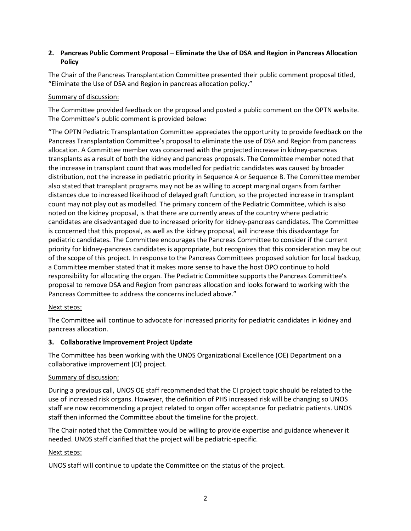# **2. Pancreas Public Comment Proposal – Eliminate the Use of DSA and Region in Pancreas Allocation Policy**

The Chair of the Pancreas Transplantation Committee presented their public comment proposal titled, "Eliminate the Use of DSA and Region in pancreas allocation policy."

# Summary of discussion:

The Committee provided feedback on the proposal and posted a public comment on the OPTN website. The Committee's public comment is provided below:

"The OPTN Pediatric Transplantation Committee appreciates the opportunity to provide feedback on the Pancreas Transplantation Committee's proposal to eliminate the use of DSA and Region from pancreas allocation. A Committee member was concerned with the projected increase in kidney-pancreas transplants as a result of both the kidney and pancreas proposals. The Committee member noted that the increase in transplant count that was modelled for pediatric candidates was caused by broader distribution, not the increase in pediatric priority in Sequence A or Sequence B. The Committee member also stated that transplant programs may not be as willing to accept marginal organs from farther distances due to increased likelihood of delayed graft function, so the projected increase in transplant count may not play out as modelled. The primary concern of the Pediatric Committee, which is also noted on the kidney proposal, is that there are currently areas of the country where pediatric candidates are disadvantaged due to increased priority for kidney-pancreas candidates. The Committee is concerned that this proposal, as well as the kidney proposal, will increase this disadvantage for pediatric candidates. The Committee encourages the Pancreas Committee to consider if the current priority for kidney-pancreas candidates is appropriate, but recognizes that this consideration may be out of the scope of this project. In response to the Pancreas Committees proposed solution for local backup, a Committee member stated that it makes more sense to have the host OPO continue to hold responsibility for allocating the organ. The Pediatric Committee supports the Pancreas Committee's proposal to remove DSA and Region from pancreas allocation and looks forward to working with the Pancreas Committee to address the concerns included above."

## Next steps:

The Committee will continue to advocate for increased priority for pediatric candidates in kidney and pancreas allocation.

## **3. Collaborative Improvement Project Update**

The Committee has been working with the UNOS Organizational Excellence (OE) Department on a collaborative improvement (CI) project.

## Summary of discussion:

During a previous call, UNOS OE staff recommended that the CI project topic should be related to the use of increased risk organs. However, the definition of PHS increased risk will be changing so UNOS staff are now recommending a project related to organ offer acceptance for pediatric patients. UNOS staff then informed the Committee about the timeline for the project.

The Chair noted that the Committee would be willing to provide expertise and guidance whenever it needed. UNOS staff clarified that the project will be pediatric-specific.

# Next steps:

UNOS staff will continue to update the Committee on the status of the project.